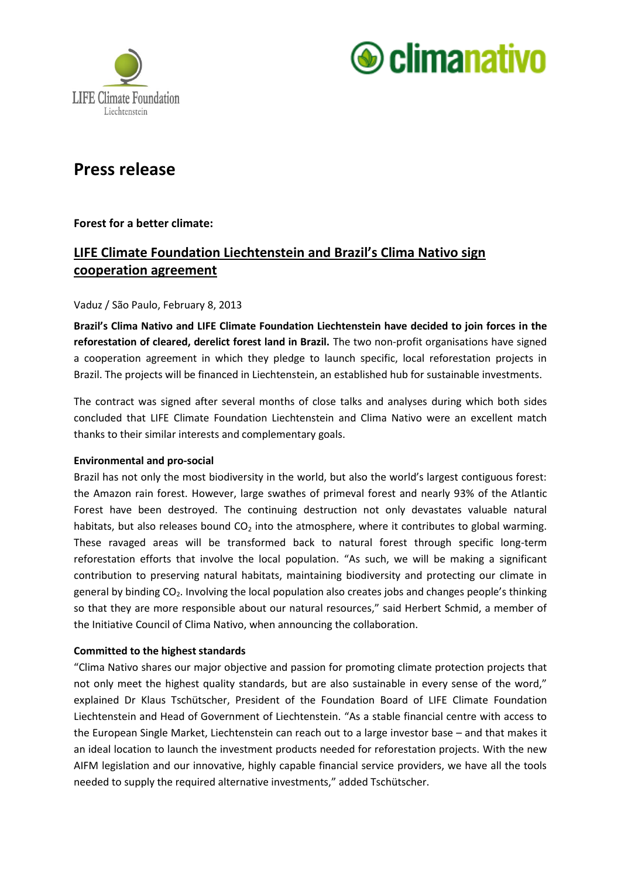



# **Press release**

# **Forest for a better climate:**

# **LIFE Climate Foundation Liechtenstein and Brazil's Clima Nativo sign cooperation agreement**

#### Vaduz / São Paulo, February 8, 2013

**Brazil's Clima Nativo and LIFE Climate Foundation Liechtenstein have decided to join forces in the reforestation of cleared, derelict forest land in Brazil.** The two non-profit organisations have signed a cooperation agreement in which they pledge to launch specific, local reforestation projects in Brazil. The projects will be financed in Liechtenstein, an established hub for sustainable investments.

The contract was signed after several months of close talks and analyses during which both sides concluded that LIFE Climate Foundation Liechtenstein and Clima Nativo were an excellent match thanks to their similar interests and complementary goals.

#### **Environmental and pro-social**

Brazil has not only the most biodiversity in the world, but also the world's largest contiguous forest: the Amazon rain forest. However, large swathes of primeval forest and nearly 93% of the Atlantic Forest have been destroyed. The continuing destruction not only devastates valuable natural habitats, but also releases bound  $CO<sub>2</sub>$  into the atmosphere, where it contributes to global warming. These ravaged areas will be transformed back to natural forest through specific long-term reforestation efforts that involve the local population. "As such, we will be making a significant contribution to preserving natural habitats, maintaining biodiversity and protecting our climate in general by binding  $CO<sub>2</sub>$ . Involving the local population also creates jobs and changes people's thinking so that they are more responsible about our natural resources," said Herbert Schmid, a member of the Initiative Council of Clima Nativo, when announcing the collaboration.

## **Committed to the highest standards**

"Clima Nativo shares our major objective and passion for promoting climate protection projects that not only meet the highest quality standards, but are also sustainable in every sense of the word," explained Dr Klaus Tschütscher, President of the Foundation Board of LIFE Climate Foundation Liechtenstein and Head of Government of Liechtenstein. "As a stable financial centre with access to the European Single Market, Liechtenstein can reach out to a large investor base – and that makes it an ideal location to launch the investment products needed for reforestation projects. With the new AIFM legislation and our innovative, highly capable financial service providers, we have all the tools needed to supply the required alternative investments," added Tschütscher.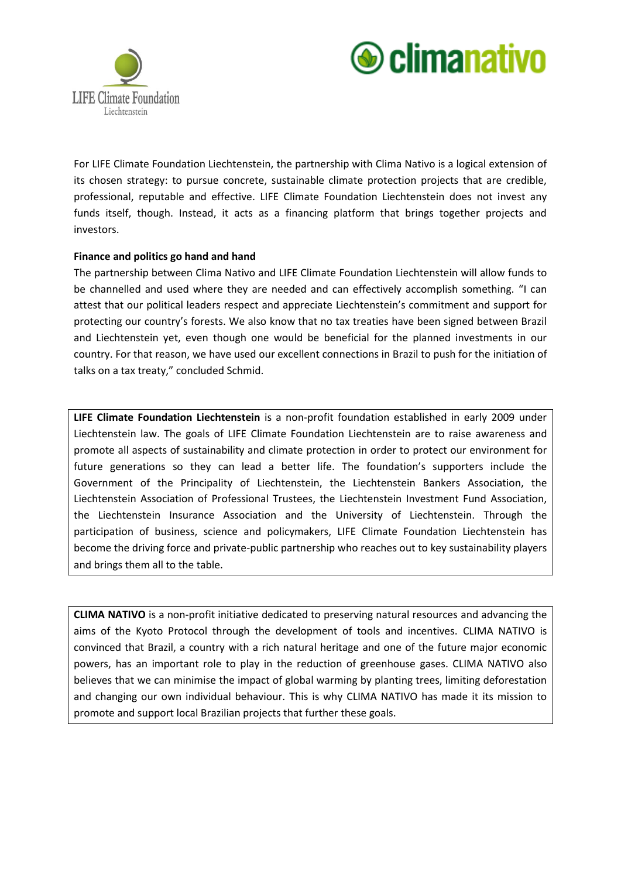



For LIFE Climate Foundation Liechtenstein, the partnership with Clima Nativo is a logical extension of its chosen strategy: to pursue concrete, sustainable climate protection projects that are credible, professional, reputable and effective. LIFE Climate Foundation Liechtenstein does not invest any funds itself, though. Instead, it acts as a financing platform that brings together projects and investors.

#### **Finance and politics go hand and hand**

The partnership between Clima Nativo and LIFE Climate Foundation Liechtenstein will allow funds to be channelled and used where they are needed and can effectively accomplish something. "I can attest that our political leaders respect and appreciate Liechtenstein's commitment and support for protecting our country's forests. We also know that no tax treaties have been signed between Brazil and Liechtenstein yet, even though one would be beneficial for the planned investments in our country. For that reason, we have used our excellent connections in Brazil to push for the initiation of talks on a tax treaty," concluded Schmid.

**LIFE Climate Foundation Liechtenstein** is a non-profit foundation established in early 2009 under Liechtenstein law. The goals of LIFE Climate Foundation Liechtenstein are to raise awareness and promote all aspects of sustainability and climate protection in order to protect our environment for future generations so they can lead a better life. The foundation's supporters include the Government of the Principality of Liechtenstein, the Liechtenstein Bankers Association, the Liechtenstein Association of Professional Trustees, the Liechtenstein Investment Fund Association, the Liechtenstein Insurance Association and the University of Liechtenstein. Through the participation of business, science and policymakers, LIFE Climate Foundation Liechtenstein has become the driving force and private-public partnership who reaches out to key sustainability players and brings them all to the table.

**CLIMA NATIVO** is a non-profit initiative dedicated to preserving natural resources and advancing the aims of the Kyoto Protocol through the development of tools and incentives. CLIMA NATIVO is convinced that Brazil, a country with a rich natural heritage and one of the future major economic powers, has an important role to play in the reduction of greenhouse gases. CLIMA NATIVO also believes that we can minimise the impact of global warming by planting trees, limiting deforestation and changing our own individual behaviour. This is why CLIMA NATIVO has made it its mission to promote and support local Brazilian projects that further these goals.